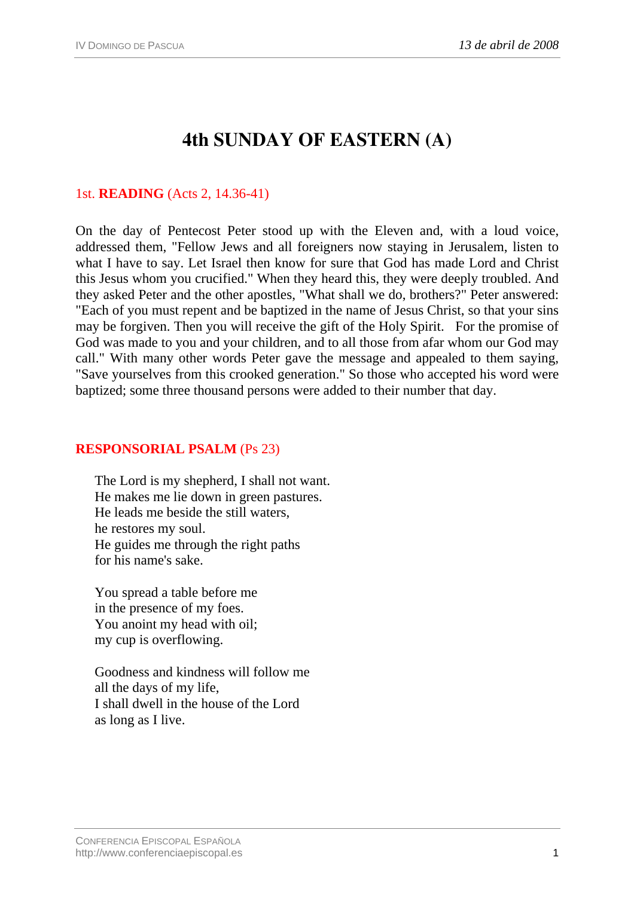# **4th SUNDAY OF EASTERN (A)**

## 1st. **READING** (Acts 2, 14.36-41)

On the day of Pentecost Peter stood up with the Eleven and, with a loud voice, addressed them, "Fellow Jews and all foreigners now staying in Jerusalem, listen to what I have to say. Let Israel then know for sure that God has made Lord and Christ this Jesus whom you crucified." When they heard this, they were deeply troubled. And they asked Peter and the other apostles, "What shall we do, brothers?" Peter answered: "Each of you must repent and be baptized in the name of Jesus Christ, so that your sins may be forgiven. Then you will receive the gift of the Holy Spirit. For the promise of God was made to you and your children, and to all those from afar whom our God may call." With many other words Peter gave the message and appealed to them saying, "Save yourselves from this crooked generation." So those who accepted his word were baptized; some three thousand persons were added to their number that day.

#### **RESPONSORIAL PSALM** (Ps 23)

The Lord is my shepherd, I shall not want. He makes me lie down in green pastures. He leads me beside the still waters, he restores my soul. He guides me through the right paths for his name's sake.

You spread a table before me in the presence of my foes. You anoint my head with oil; my cup is overflowing.

Goodness and kindness will follow me all the days of my life, I shall dwell in the house of the Lord as long as I live.